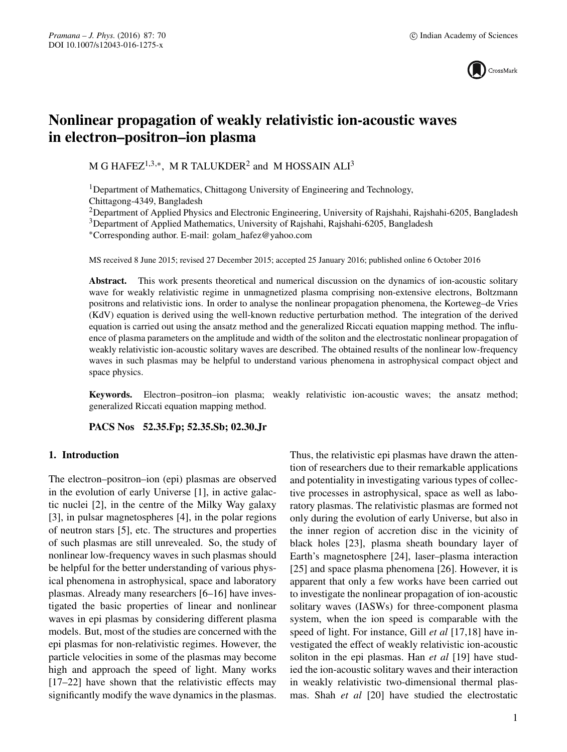

# **Nonlinear propagation of weakly relativistic ion-acoustic waves in electron–positron–ion plasma**

M G HAFEZ<sup>1,3,∗</sup>, M R TALUKDER<sup>2</sup> and M HOSSAIN ALI<sup>3</sup>

<sup>1</sup>Department of Mathematics, Chittagong University of Engineering and Technology, Chittagong-4349, Bangladesh

<sup>2</sup>Department of Applied Physics and Electronic Engineering, University of Rajshahi, Rajshahi-6205, Bangladesh 3Department of Applied Mathematics, University of Rajshahi, Rajshahi-6205, Bangladesh

∗Corresponding author. E-mail: golam\_hafez@yahoo.com

MS received 8 June 2015; revised 27 December 2015; accepted 25 January 2016; published online 6 October 2016

**Abstract.** This work presents theoretical and numerical discussion on the dynamics of ion-acoustic solitary wave for weakly relativistic regime in unmagnetized plasma comprising non-extensive electrons, Boltzmann positrons and relativistic ions. In order to analyse the nonlinear propagation phenomena, the Korteweg–de Vries (KdV) equation is derived using the well-known reductive perturbation method. The integration of the derived equation is carried out using the ansatz method and the generalized Riccati equation mapping method. The influence of plasma parameters on the amplitude and width of the soliton and the electrostatic nonlinear propagation of weakly relativistic ion-acoustic solitary waves are described. The obtained results of the nonlinear low-frequency waves in such plasmas may be helpful to understand various phenomena in astrophysical compact object and space physics.

**Keywords.** Electron–positron–ion plasma; weakly relativistic ion-acoustic waves; the ansatz method; generalized Riccati equation mapping method.

**PACS Nos 52.35.Fp; 52.35.Sb; 02.30.Jr**

## **1. Introduction**

The electron–positron–ion (epi) plasmas are observed in the evolution of early Universe [1], in active galactic nuclei [2], in the centre of the Milky Way galaxy [3], in pulsar magnetospheres [4], in the polar regions of neutron stars [5], etc. The structures and properties of such plasmas are still unrevealed. So, the study of nonlinear low-frequency waves in such plasmas should be helpful for the better understanding of various physical phenomena in astrophysical, space and laboratory plasmas. Already many researchers [6–16] have investigated the basic properties of linear and nonlinear waves in epi plasmas by considering different plasma models. But, most of the studies are concerned with the epi plasmas for non-relativistic regimes. However, the particle velocities in some of the plasmas may become high and approach the speed of light. Many works [17–22] have shown that the relativistic effects may significantly modify the wave dynamics in the plasmas. Thus, the relativistic epi plasmas have drawn the attention of researchers due to their remarkable applications and potentiality in investigating various types of collective processes in astrophysical, space as well as laboratory plasmas. The relativistic plasmas are formed not only during the evolution of early Universe, but also in the inner region of accretion disc in the vicinity of black holes [23], plasma sheath boundary layer of Earth's magnetosphere [24], laser–plasma interaction [25] and space plasma phenomena [26]. However, it is apparent that only a few works have been carried out to investigate the nonlinear propagation of ion-acoustic solitary waves (IASWs) for three-component plasma system, when the ion speed is comparable with the speed of light. For instance, Gill *et al* [17,18] have investigated the effect of weakly relativistic ion-acoustic soliton in the epi plasmas. Han *et al* [19] have studied the ion-acoustic solitary waves and their interaction in weakly relativistic two-dimensional thermal plasmas. Shah *et al* [20] have studied the electrostatic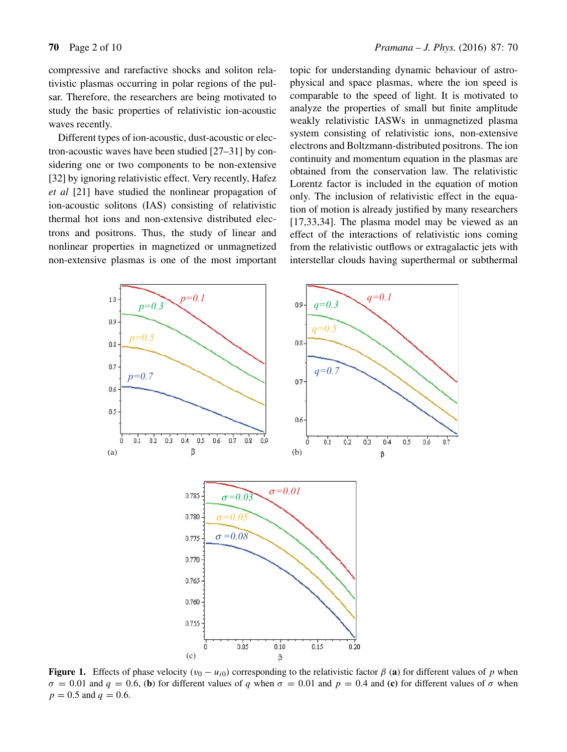compressive and rarefactive shocks and soliton relativistic plasmas occurring in polar regions of the pulsar. Therefore, the researchers are being motivated to study the basic properties of relativistic ion-acoustic waves recently.

Different types of ion-acoustic, dust-acoustic or electron-acoustic waves have been studied [27–31] by considering one or two components to be non-extensive [32] by ignoring relativistic effect. Very recently, Hafez *et al* [21] have studied the nonlinear propagation of ion-acoustic solitons (IAS) consisting of relativistic thermal hot ions and non-extensive distributed electrons and positrons. Thus, the study of linear and nonlinear properties in magnetized or unmagnetized non-extensive plasmas is one of the most important topic for understanding dynamic behaviour of astrophysical and space plasmas, where the ion speed is comparable to the speed of light. It is motivated to analyze the properties of small but finite amplitude weakly relativistic IASWs in unmagnetized plasma system consisting of relativistic ions, non-extensive electrons and Boltzmann-distributed positrons. The ion continuity and momentum equation in the plasmas are obtained from the conservation law. The relativistic Lorentz factor is included in the equation of motion only. The inclusion of relativistic effect in the equation of motion is already justified by many researchers [17,33,34]. The plasma model may be viewed as an effect of the interactions of relativistic ions coming from the relativistic outflows or extragalactic jets with interstellar clouds having superthermal or subthermal



**Figure 1.** Effects of phase velocity  $(v_0 - u_{i0})$  corresponding to the relativistic factor  $\beta$  (a) for different values of p when  $\sigma = 0.01$  and  $q = 0.6$ , (**b**) for different values of q when  $\sigma = 0.01$  and  $p = 0.4$  and (**c**) for different values of  $\sigma$  when  $p = 0.5$  and  $q = 0.6$ .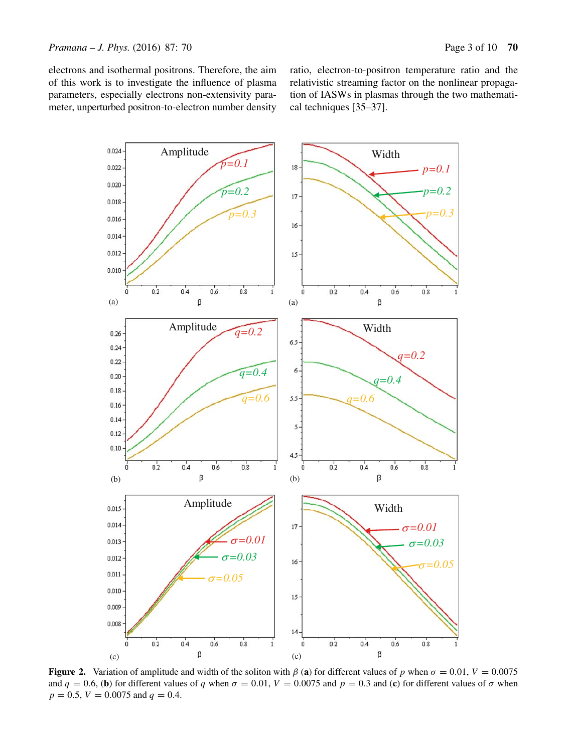electrons and isothermal positrons. Therefore, the aim of this work is to investigate the influence of plasma parameters, especially electrons non-extensivity parameter, unperturbed positron-to-electron number density ratio, electron-to-positron temperature ratio and the relativistic streaming factor on the nonlinear propagation of IASWs in plasmas through the two mathematical techniques [35–37].



**Figure 2.** Variation of amplitude and width of the soliton with  $\beta$  (a) for different values of p when  $\sigma = 0.01$ ,  $V = 0.0075$ and  $q = 0.6$ , (**b**) for different values of q when  $\sigma = 0.01$ ,  $V = 0.0075$  and  $p = 0.3$  and (**c**) for different values of  $\sigma$  when  $p = 0.5$ ,  $V = 0.0075$  and  $q = 0.4$ .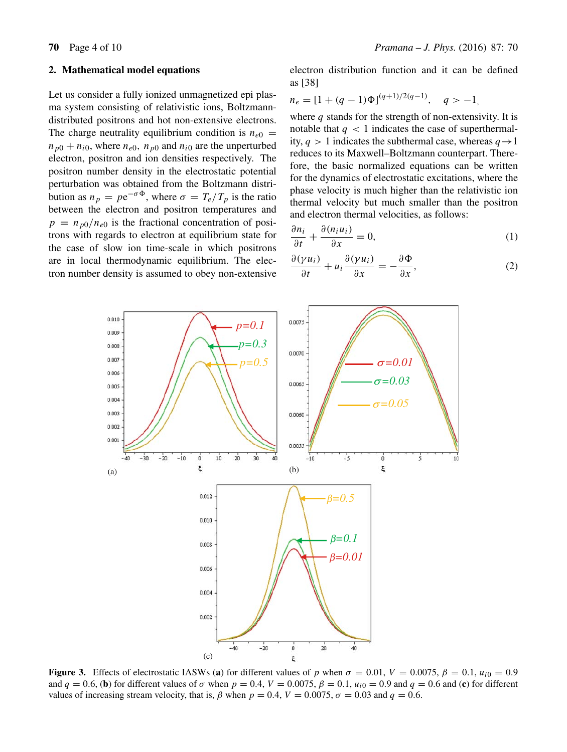#### **2. Mathematical model equations**

Let us consider a fully ionized unmagnetized epi plasma system consisting of relativistic ions, Boltzmanndistributed positrons and hot non-extensive electrons. The charge neutrality equilibrium condition is  $n_{e0}$  =  $n_{p0} + n_{i0}$ , where  $n_{e0}$ ,  $n_{p0}$  and  $n_{i0}$  are the unperturbed electron, positron and ion densities respectively. The positron number density in the electrostatic potential perturbation was obtained from the Boltzmann distribution as  $n_p = pe^{-\sigma \Phi}$ , where  $\sigma = T_e/T_p$  is the ratio between the electron and positron temperatures and  $p = n_{p0}/n_{e0}$  is the fractional concentration of positrons with regards to electron at equilibrium state for the case of slow ion time-scale in which positrons are in local thermodynamic equilibrium. The electron number density is assumed to obey non-extensive electron distribution function and it can be defined as [38]

$$
n_e = [1 + (q-1)\Phi]^{(q+1)/2(q-1)}, \quad q > -1,
$$

where  $q$  stands for the strength of non-extensivity. It is notable that  $q < 1$  indicates the case of superthermality,  $q > 1$  indicates the subthermal case, whereas  $q \rightarrow 1$ reduces to its Maxwell–Boltzmann counterpart. Therefore, the basic normalized equations can be written for the dynamics of electrostatic excitations, where the phase velocity is much higher than the relativistic ion thermal velocity but much smaller than the positron and electron thermal velocities, as follows:

$$
\frac{\partial n_i}{\partial t} + \frac{\partial (n_i u_i)}{\partial x} = 0, \tag{1}
$$

$$
\frac{\partial(\gamma u_i)}{\partial t} + u_i \frac{\partial(\gamma u_i)}{\partial x} = -\frac{\partial \Phi}{\partial x},\tag{2}
$$



**Figure 3.** Effects of electrostatic IASWs (**a**) for different values of p when  $\sigma = 0.01$ ,  $V = 0.0075$ ,  $\beta = 0.1$ ,  $u_{i0} = 0.9$ and  $q = 0.6$ , (**b**) for different values of  $\sigma$  when  $p = 0.4$ ,  $V = 0.0075$ ,  $\beta = 0.1$ ,  $u_{i0} = 0.9$  and  $q = 0.6$  and (**c**) for different values of increasing stream velocity, that is,  $\beta$  when  $p = 0.4$ ,  $V = 0.0075$ ,  $\sigma = 0.03$  and  $q = 0.6$ .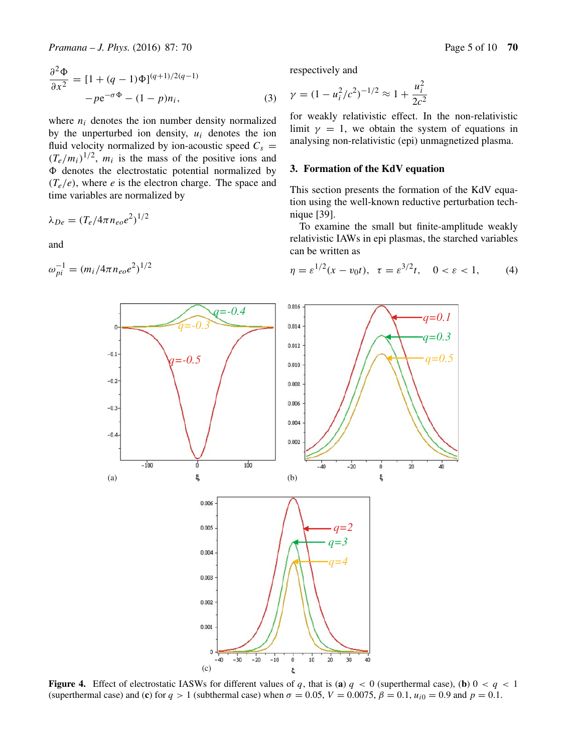$$
\frac{\partial^2 \Phi}{\partial x^2} = [1 + (q - 1)\Phi]^{(q+1)/2(q-1)} - p e^{-\sigma \Phi} - (1 - p)n_i,
$$
\n(3)

where  $n_i$  denotes the ion number density normalized by the unperturbed ion density,  $u_i$  denotes the ion fluid velocity normalized by ion-acoustic speed  $C_s$  =  $(T_e/m_i)^{1/2}$ ,  $m_i$  is the mass of the positive ions and  $\Phi$  denotes the electrostatic potential normalized by  $(T_e/e)$ , where *e* is the electron charge. The space and time variables are normalized by

$$
\lambda_{De} = (T_e/4\pi n_{eo}e^2)^{1/2}
$$

and

$$
\omega_{pi}^{-1} = (m_i/4\pi n_{eo}e^2)^{1/2}
$$

respectively and

$$
\gamma = (1 - u_i^2/c^2)^{-1/2} \approx 1 + \frac{u_i^2}{2c^2}
$$

for weakly relativistic effect. In the non-relativistic limit  $\gamma = 1$ , we obtain the system of equations in analysing non-relativistic (epi) unmagnetized plasma.

## **3. Formation of the KdV equation**

This section presents the formation of the KdV equation using the well-known reductive perturbation technique [39].

To examine the small but finite-amplitude weakly relativistic IAWs in epi plasmas, the starched variables can be written as

$$
\eta = \varepsilon^{1/2} (x - v_0 t), \ \tau = \varepsilon^{3/2} t, \ 0 < \varepsilon < 1,\tag{4}
$$



**Figure 4.** Effect of electrostatic IASWs for different values of q, that is (a)  $q < 0$  (superthermal case), (b)  $0 < q < 1$ (superthermal case) and (**c**) for  $q > 1$  (subthermal case) when  $\sigma = 0.05$ ,  $V = 0.0075$ ,  $\beta = 0.1$ ,  $u_{i0} = 0.9$  and  $p = 0.1$ .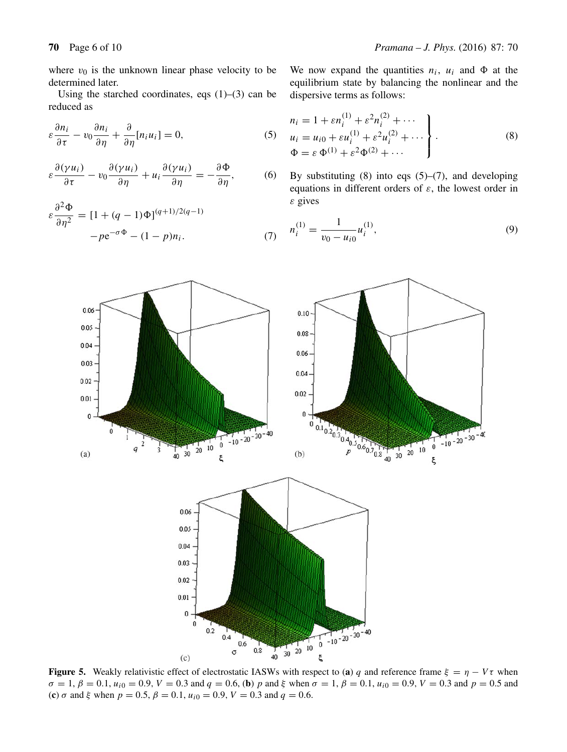where  $v_0$  is the unknown linear phase velocity to be determined later.

Using the starched coordinates, eqs  $(1)$ – $(3)$  can be reduced as

$$
\varepsilon \frac{\partial n_i}{\partial \tau} - v_0 \frac{\partial n_i}{\partial \eta} + \frac{\partial}{\partial \eta} [n_i u_i] = 0, \tag{5}
$$

$$
\varepsilon \frac{\partial (\gamma u_i)}{\partial \tau} - v_0 \frac{\partial (\gamma u_i)}{\partial \eta} + u_i \frac{\partial (\gamma u_i)}{\partial \eta} = -\frac{\partial \Phi}{\partial \eta}, \tag{6}
$$

$$
\varepsilon \frac{\partial^2 \Phi}{\partial \eta^2} = [1 + (q-1)\Phi]^{(q+1)/2(q-1)}
$$

$$
-pe^{-\sigma\Phi} - (1-p)n_i.
$$
 (7)

We now expand the quantities  $n_i$ ,  $u_i$  and  $\Phi$  at the equilibrium state by balancing the nonlinear and the dispersive terms as follows:

$$
n_{i} = 1 + \varepsilon n_{i}^{(1)} + \varepsilon^{2} n_{i}^{(2)} + \cdots
$$
  
\n
$$
u_{i} = u_{i0} + \varepsilon u_{i}^{(1)} + \varepsilon^{2} u_{i}^{(2)} + \cdots
$$
  
\n
$$
\Phi = \varepsilon \Phi^{(1)} + \varepsilon^{2} \Phi^{(2)} + \cdots
$$
\n(8)

By substituting  $(8)$  into eqs  $(5)$ – $(7)$ , and developing equations in different orders of  $\varepsilon$ , the lowest order in  $\varepsilon$  gives

$$
n_i^{(1)} = \frac{1}{v_0 - u_{i0}} u_i^{(1)},\tag{9}
$$



**Figure 5.** Weakly relativistic effect of electrostatic IASWs with respect to (**a**) q and reference frame  $\xi = \eta - V\tau$  when  $\sigma = 1, \beta = 0.1, u_{i0} = 0.9, V = 0.3$  and  $q = 0.6$ , (**b**) p and  $\xi$  when  $\sigma = 1, \beta = 0.1, u_{i0} = 0.9, V = 0.3$  and  $p = 0.5$  and (**c**)  $\sigma$  and  $\xi$  when  $p = 0.5$ ,  $\beta = 0.1$ ,  $u_{i0} = 0.9$ ,  $V = 0.3$  and  $q = 0.6$ .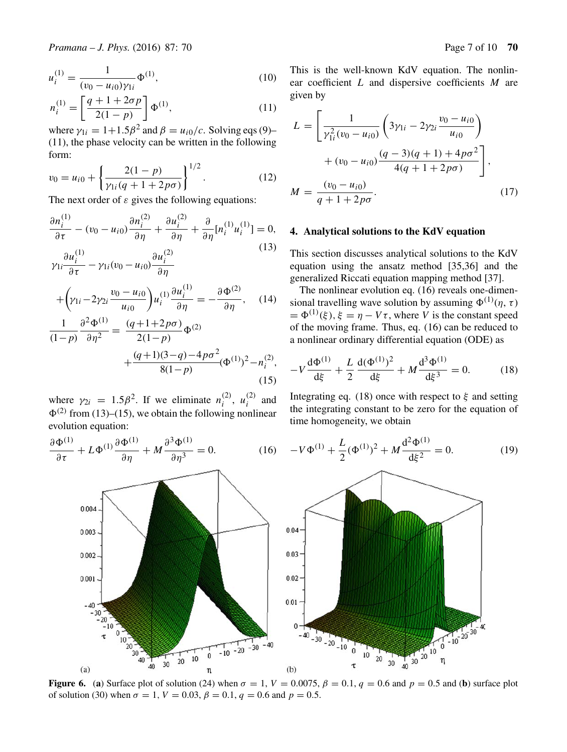$$
u_i^{(1)} = \frac{1}{(v_0 - u_{i0})\gamma_{1i}} \Phi^{(1)},
$$
\n(10)

$$
n_i^{(1)} = \left[\frac{q+1+2\sigma p}{2(1-p)}\right] \Phi^{(1)},\tag{11}
$$

where  $\gamma_{1i} = 1+1.5\beta^2$  and  $\beta = u_{i0}/c$ . Solving eqs (9)– (11), the phase velocity can be written in the following form:

$$
v_0 = u_{i0} + \left\{ \frac{2(1-p)}{\gamma_{1i}(q+1+2p\sigma)} \right\}^{1/2}.
$$
 (12)

The next order of  $\varepsilon$  gives the following equations:

$$
\frac{\partial n_i^{(1)}}{\partial \tau} - (v_0 - u_{i0}) \frac{\partial n_i^{(2)}}{\partial \eta} + \frac{\partial u_i^{(2)}}{\partial \eta} + \frac{\partial}{\partial \eta} [n_i^{(1)} u_i^{(1)}] = 0,
$$
  

$$
\gamma_{1i} \frac{\partial u_i^{(1)}}{\partial \tau} - \gamma_{1i} (v_0 - u_{i0}) \frac{\partial u_i^{(2)}}{\partial \eta}
$$
 (13)

$$
+\left(\gamma_{1i}-2\gamma_{2i}\frac{v_0-u_{i0}}{u_{i0}}\right)u_i^{(1)}\frac{\partial u_i^{(1)}}{\partial \eta}=-\frac{\partial \Phi^{(2)}}{\partial \eta},\quad(14)
$$

$$
\frac{1}{(1-p)}\frac{\partial^2 \Phi^{(1)}}{\partial \eta^2} = \frac{(q+1+2p\sigma)}{2(1-p)}\Phi^{(2)} + \frac{(q+1)(3-q)-4p\sigma^2}{8(1-p)}(\Phi^{(1)})^2 - n_i^{(2)},
$$
\n(15)

where  $\gamma_{2i} = 1.5\beta^2$ . If we eliminate  $n_i^{(2)}$ ,  $u_i^{(2)}$  and  $\Phi^{(2)}$  from (13)–(15), we obtain the following nonlinear evolution equation:

$$
\frac{\partial \Phi^{(1)}}{\partial \tau} + L \Phi^{(1)} \frac{\partial \Phi^{(1)}}{\partial \eta} + M \frac{\partial^3 \Phi^{(1)}}{\partial \eta^3} = 0.
$$
 (16)

This is the well-known KdV equation. The nonlinear coefficient L and dispersive coefficients M are given by

$$
L = \left[ \frac{1}{\gamma_{1i}^2 (v_0 - u_{i0})} \left( 3\gamma_{1i} - 2\gamma_{2i} \frac{v_0 - u_{i0}}{u_{i0}} \right) + (v_0 - u_{i0}) \frac{(q - 3)(q + 1) + 4p\sigma^2}{4(q + 1 + 2p\sigma)} \right],
$$
  

$$
M = \frac{(v_0 - u_{i0})}{q + 1 + 2p\sigma}.
$$
 (17)

### **4. Analytical solutions to the KdV equation**

This section discusses analytical solutions to the KdV equation using the ansatz method [35,36] and the generalized Riccati equation mapping method [37].

The nonlinear evolution eq. (16) reveals one-dimensional travelling wave solution by assuming  $\Phi^{(1)}(\eta, \tau)$  $= \Phi^{(1)}(\xi), \xi = \eta - V\tau$ , where V is the constant speed of the moving frame. Thus, eq. (16) can be reduced to a nonlinear ordinary differential equation (ODE) as

$$
-V\frac{d\Phi^{(1)}}{d\xi} + \frac{L}{2}\frac{d(\Phi^{(1)})^2}{d\xi} + M\frac{d^3\Phi^{(1)}}{d\xi^3} = 0.
$$
 (18)

Integrating eq. (18) once with respect to  $\xi$  and setting the integrating constant to be zero for the equation of time homogeneity, we obtain



**Figure 6.** (a) Surface plot of solution (24) when  $\sigma = 1$ ,  $V = 0.0075$ ,  $\beta = 0.1$ ,  $q = 0.6$  and  $p = 0.5$  and (b) surface plot of solution (30) when  $\sigma = 1$ ,  $V = 0.03$ ,  $\beta = 0.1$ ,  $q = 0.6$  and  $p = 0.5$ .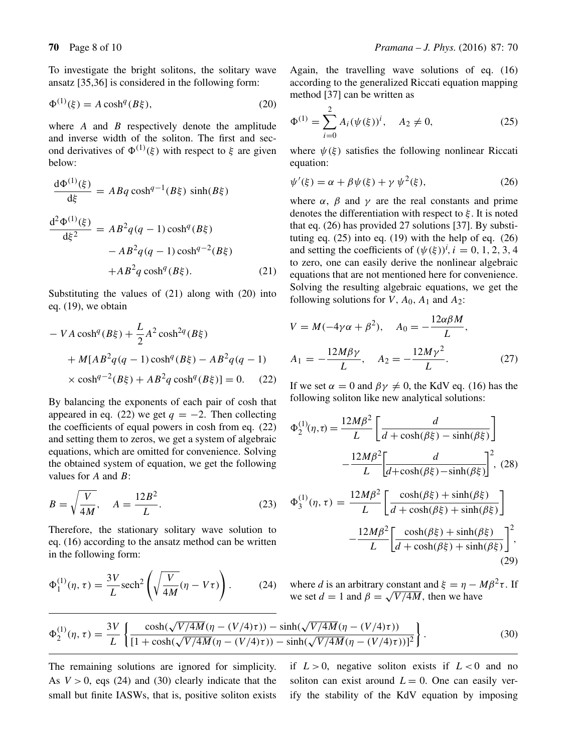$\sim$ 

To investigate the bright solitons, the solitary wave ansatz [35,36] is considered in the following form:

$$
\Phi^{(1)}(\xi) = A \cosh^q(B\xi),\tag{20}
$$

where  $A$  and  $B$  respectively denote the amplitude and inverse width of the soliton. The first and second derivatives of  $\Phi^{(1)}(\xi)$  with respect to  $\xi$  are given below:

$$
\frac{d\Phi^{(1)}(\xi)}{d\xi} = ABq \cosh^{q-1}(B\xi) \sinh(B\xi)
$$

$$
\frac{d^2\Phi^{(1)}(\xi)}{d\xi^2} = AB^2q(q-1)\cosh^q(B\xi)
$$

$$
-AB^2q(q-1)\cosh^{q-2}(B\xi)
$$

$$
+AB^2q\cosh^q(B\xi).
$$
(21)

Substituting the values of (21) along with (20) into eq. (19), we obtain

$$
- VA \cosh^{q}(B\xi) + \frac{L}{2} A^{2} \cosh^{2q}(B\xi)
$$
  
+ M[AB<sup>2</sup>q(q - 1) \cosh^{q}(B\xi) - AB<sup>2</sup>q(q - 1)  
× cosh<sup>q-2</sup>(B\xi) + AB<sup>2</sup>q cosh<sup>q</sup>(B\xi)] = 0. (22)

By balancing the exponents of each pair of cosh that appeared in eq. (22) we get  $q = -2$ . Then collecting the coefficients of equal powers in cosh from eq. (22) and setting them to zeros, we get a system of algebraic equations, which are omitted for convenience. Solving the obtained system of equation, we get the following values for  $A$  and  $B$ :

$$
B = \sqrt{\frac{V}{4M}}, \quad A = \frac{12B^2}{L}.
$$
 (23)

Therefore, the stationary solitary wave solution to eq. (16) according to the ansatz method can be written in the following form:

$$
\Phi_1^{(1)}(\eta, \tau) = \frac{3V}{L} \text{sech}^2 \left( \sqrt{\frac{V}{4M}} (\eta - V\tau) \right). \tag{24}
$$

Again, the travelling wave solutions of eq. (16) according to the generalized Riccati equation mapping method [37] can be written as

$$
\Phi^{(1)} = \sum_{i=0}^{2} A_i (\psi(\xi))^i, \quad A_2 \neq 0,
$$
 (25)

where  $\psi(\xi)$  satisfies the following nonlinear Riccati equation:

$$
\psi'(\xi) = \alpha + \beta \psi(\xi) + \gamma \psi^2(\xi),\tag{26}
$$

where  $\alpha$ ,  $\beta$  and  $\gamma$  are the real constants and prime denotes the differentiation with respect to  $\xi$ . It is noted that eq. (26) has provided 27 solutions [37]. By substituting eq.  $(25)$  into eq.  $(19)$  with the help of eq.  $(26)$ and setting the coefficients of  $(\psi(\xi))^{i}$ ,  $i = 0, 1, 2, 3, 4$ to zero, one can easily derive the nonlinear algebraic equations that are not mentioned here for convenience. Solving the resulting algebraic equations, we get the following solutions for V,  $A_0$ ,  $A_1$  and  $A_2$ :

$$
V = M(-4\gamma\alpha + \beta^{2}), \quad A_{0} = -\frac{12\alpha\beta M}{L},
$$

$$
A_{1} = -\frac{12M\beta\gamma}{L}, \quad A_{2} = -\frac{12M\gamma^{2}}{L}.
$$
 (27)

If we set  $\alpha = 0$  and  $\beta \gamma \neq 0$ , the KdV eq. (16) has the following soliton like new analytical solutions:

$$
\Phi_2^{(1)}(\eta, \tau) = \frac{12M\beta^2}{L} \left[ \frac{d}{d + \cosh(\beta \xi) - \sinh(\beta \xi)} \right]
$$

$$
- \frac{12M\beta^2}{L} \left[ \frac{d}{d + \cosh(\beta \xi) - \sinh(\beta \xi)} \right]^2, (28)
$$

$$
\Phi_3^{(1)}(\eta, \tau) = \frac{12M\beta^2}{L} \left[ \frac{\cosh(\beta\xi) + \sinh(\beta\xi)}{d + \cosh(\beta\xi) + \sinh(\beta\xi)} \right]
$$

$$
- \frac{12M\beta^2}{L} \left[ \frac{\cosh(\beta\xi) + \sinh(\beta\xi)}{d + \cosh(\beta\xi) + \sinh(\beta\xi)} \right]^2,
$$
(29)

where *d* is an arbitrary constant and  $\xi = \eta - M\beta^2 \tau$ . If we set  $d = 1$  and  $\beta = \sqrt{V/4M}$ , then we have

$$
\Phi_2^{(1)}(\eta,\tau) = \frac{3V}{L} \left\{ \frac{\cosh(\sqrt{V/4M}(\eta - (V/4)\tau)) - \sinh(\sqrt{V/4M}(\eta - (V/4)\tau))}{[1 + \cosh(\sqrt{V/4M}(\eta - (V/4)\tau)) - \sinh(\sqrt{V/4M}(\eta - (V/4)\tau))]^2} \right\}.
$$
\n(30)

The remaining solutions are ignored for simplicity. As  $V > 0$ , eqs (24) and (30) clearly indicate that the small but finite IASWs, that is, positive soliton exists if  $L > 0$ , negative soliton exists if  $L < 0$  and no soliton can exist around  $L = 0$ . One can easily verify the stability of the KdV equation by imposing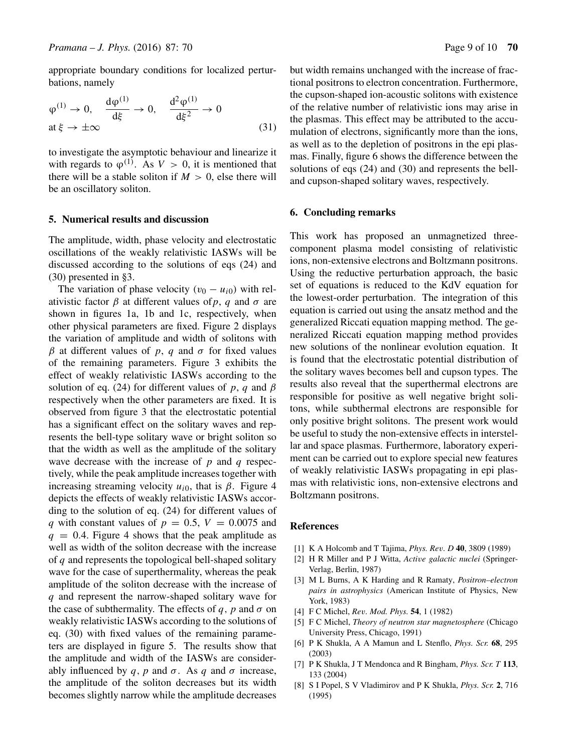appropriate boundary conditions for localized perturbations, namely

$$
\varphi^{(1)} \to 0, \quad \frac{\mathrm{d}\varphi^{(1)}}{\mathrm{d}\xi} \to 0, \quad \frac{\mathrm{d}^2\varphi^{(1)}}{\mathrm{d}\xi^2} \to 0
$$
  
at  $\xi \to \pm \infty$  (31)

to investigate the asymptotic behaviour and linearize it with regards to  $\varphi^{(1)}$ . As  $V > 0$ , it is mentioned that there will be a stable soliton if  $M > 0$ , else there will be an oscillatory soliton.

### **5. Numerical results and discussion**

The amplitude, width, phase velocity and electrostatic oscillations of the weakly relativistic IASWs will be discussed according to the solutions of eqs (24) and (30) presented in §3.

The variation of phase velocity  $(v_0 - u_{i0})$  with relativistic factor  $\beta$  at different values of p, q and  $\sigma$  are shown in figures 1a, 1b and 1c, respectively, when other physical parameters are fixed. Figure 2 displays the variation of amplitude and width of solitons with  $β$  at different values of p, q and  $σ$  for fixed values of the remaining parameters. Figure 3 exhibits the effect of weakly relativistic IASWs according to the solution of eq. (24) for different values of p, q and  $\beta$ respectively when the other parameters are fixed. It is observed from figure 3 that the electrostatic potential has a significant effect on the solitary waves and represents the bell-type solitary wave or bright soliton so that the width as well as the amplitude of the solitary wave decrease with the increase of  $p$  and  $q$  respectively, while the peak amplitude increases together with increasing streaming velocity  $u_{i0}$ , that is  $\beta$ . Figure 4 depicts the effects of weakly relativistic IASWs according to the solution of eq. (24) for different values of q with constant values of  $p = 0.5$ ,  $V = 0.0075$  and  $q = 0.4$ . Figure 4 shows that the peak amplitude as well as width of the soliton decrease with the increase of  $q$  and represents the topological bell-shaped solitary wave for the case of superthermality, whereas the peak amplitude of the soliton decrease with the increase of q and represent the narrow-shaped solitary wave for the case of subthermality. The effects of q, p and  $\sigma$  on weakly relativistic IASWs according to the solutions of eq. (30) with fixed values of the remaining parameters are displayed in figure 5. The results show that the amplitude and width of the IASWs are considerably influenced by q, p and  $\sigma$ . As q and  $\sigma$  increase, the amplitude of the soliton decreases but its width becomes slightly narrow while the amplitude decreases but width remains unchanged with the increase of fractional positrons to electron concentration. Furthermore, the cupson-shaped ion-acoustic solitons with existence of the relative number of relativistic ions may arise in the plasmas. This effect may be attributed to the accumulation of electrons, significantly more than the ions, as well as to the depletion of positrons in the epi plasmas. Finally, figure 6 shows the difference between the solutions of eqs (24) and (30) and represents the belland cupson-shaped solitary waves, respectively.

# **6. Concluding remarks**

This work has proposed an unmagnetized threecomponent plasma model consisting of relativistic ions, non-extensive electrons and Boltzmann positrons. Using the reductive perturbation approach, the basic set of equations is reduced to the KdV equation for the lowest-order perturbation. The integration of this equation is carried out using the ansatz method and the generalized Riccati equation mapping method. The generalized Riccati equation mapping method provides new solutions of the nonlinear evolution equation. It is found that the electrostatic potential distribution of the solitary waves becomes bell and cupson types. The results also reveal that the superthermal electrons are responsible for positive as well negative bright solitons, while subthermal electrons are responsible for only positive bright solitons. The present work would be useful to study the non-extensive effects in interstellar and space plasmas. Furthermore, laboratory experiment can be carried out to explore special new features of weakly relativistic IASWs propagating in epi plasmas with relativistic ions, non-extensive electrons and Boltzmann positrons.

#### **References**

- [1] K A Holcomb and T Tajima, *Phys. Re*v*. D* **40**, 3809 (1989)
- [2] H R Miller and P J Witta, *Acti*v*e galactic nuclei* (Springer-Verlag, Berlin, 1987)
- [3] M L Burns, A K Harding and R Ramaty, *Positron–electron pairs in astrophysics* (American Institute of Physics, New York, 1983)
- [4] F C Michel, *Re*v*. Mod. Phys.* **54**, 1 (1982)
- [5] F C Michel, *Theory of neutron star magnetosphere* (Chicago University Press, Chicago, 1991)
- [6] P K Shukla, A A Mamun and L Stenflo, *Phys. Scr.* **68**, 295 (2003)
- [7] P K Shukla, J T Mendonca and R Bingham, *Phys. Scr. T* **113**, 133 (2004)
- [8] S I Popel, S V Vladimirov and P K Shukla, *Phys. Scr.* **2**, 716 (1995)